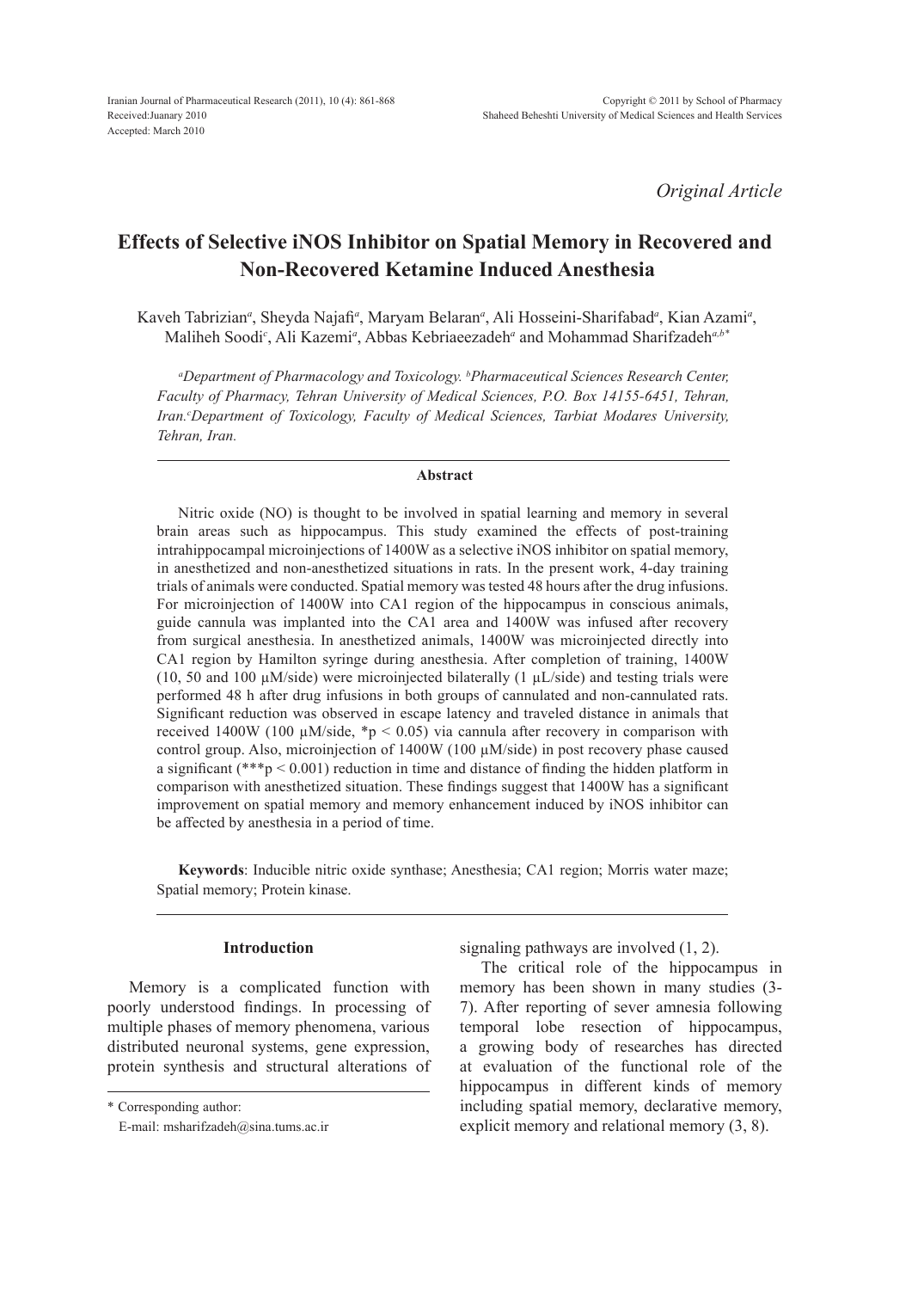*Original Article*

# **Effects of Selective iNOS Inhibitor on Spatial Memory in Recovered and Non-Recovered Ketamine Induced Anesthesia**

Kaveh Tabrizian<sup>a</sup>, Sheyda Najafi<sup>a</sup>, Maryam Belaran<sup>a</sup>, Ali Hosseini-Sharifabad<sup>a</sup>, Kian Azami<sup>a</sup>, Maliheh Soodi*<sup>c</sup>* , Ali Kazemi*<sup>a</sup>* , Abbas Kebriaeezadeh*<sup>a</sup>* and Mohammad Sharifzadeh*a,b\**

*a Department of Pharmacology and Toxicology. b Pharmaceutical Sciences Research Center, Faculty of Pharmacy, Tehran University of Medical Sciences, P.O. Box 14155-6451, Tehran,*  Iran.<sup>c</sup>Department of Toxicology, Faculty of Medical Sciences, Tarbiat Modares University, *Tehran, Iran.*

### **Abstract**

Nitric oxide (NO) is thought to be involved in spatial learning and memory in several brain areas such as hippocampus. This study examined the effects of post-training intrahippocampal microinjections of 1400W as a selective iNOS inhibitor on spatial memory, in anesthetized and non-anesthetized situations in rats. In the present work, 4-day training trials of animals were conducted. Spatial memory was tested 48 hours after the drug infusions. For microinjection of 1400W into CA1 region of the hippocampus in conscious animals, guide cannula was implanted into the CA1 area and 1400W was infused after recovery from surgical anesthesia. In anesthetized animals, 1400W was microinjected directly into CA1 region by Hamilton syringe during anesthesia. After completion of training, 1400W (10, 50 and 100  $\mu$ M/side) were microinjected bilaterally (1  $\mu$ L/side) and testing trials were performed 48 h after drug infusions in both groups of cannulated and non-cannulated rats. Significant reduction was observed in escape latency and traveled distance in animals that received 1400W (100  $\mu$ M/side, \*p < 0.05) via cannula after recovery in comparison with control group. Also, microinjection of  $1400W$  (100  $\mu$ M/side) in post recovery phase caused a significant (\*\*\*p < 0.001) reduction in time and distance of finding the hidden platform in comparison with anesthetized situation. These findings suggest that 1400W has a significant improvement on spatial memory and memory enhancement induced by iNOS inhibitor can be affected by anesthesia in a period of time.

**Keywords**: Inducible nitric oxide synthase; Anesthesia; CA1 region; Morris water maze; Spatial memory; Protein kinase.

## **Introduction**

Memory is a complicated function with poorly understood findings. In processing of multiple phases of memory phenomena, various distributed neuronal systems, gene expression, protein synthesis and structural alterations of signaling pathways are involved (1, 2).

The critical role of the hippocampus in memory has been shown in many studies (3- 7). After reporting of sever amnesia following temporal lobe resection of hippocampus, a growing body of researches has directed at evaluation of the functional role of the hippocampus in different kinds of memory including spatial memory, declarative memory, explicit memory and relational memory (3, 8).

<sup>\*</sup> Corresponding author:

E-mail: msharifzadeh@sina.tums.ac.ir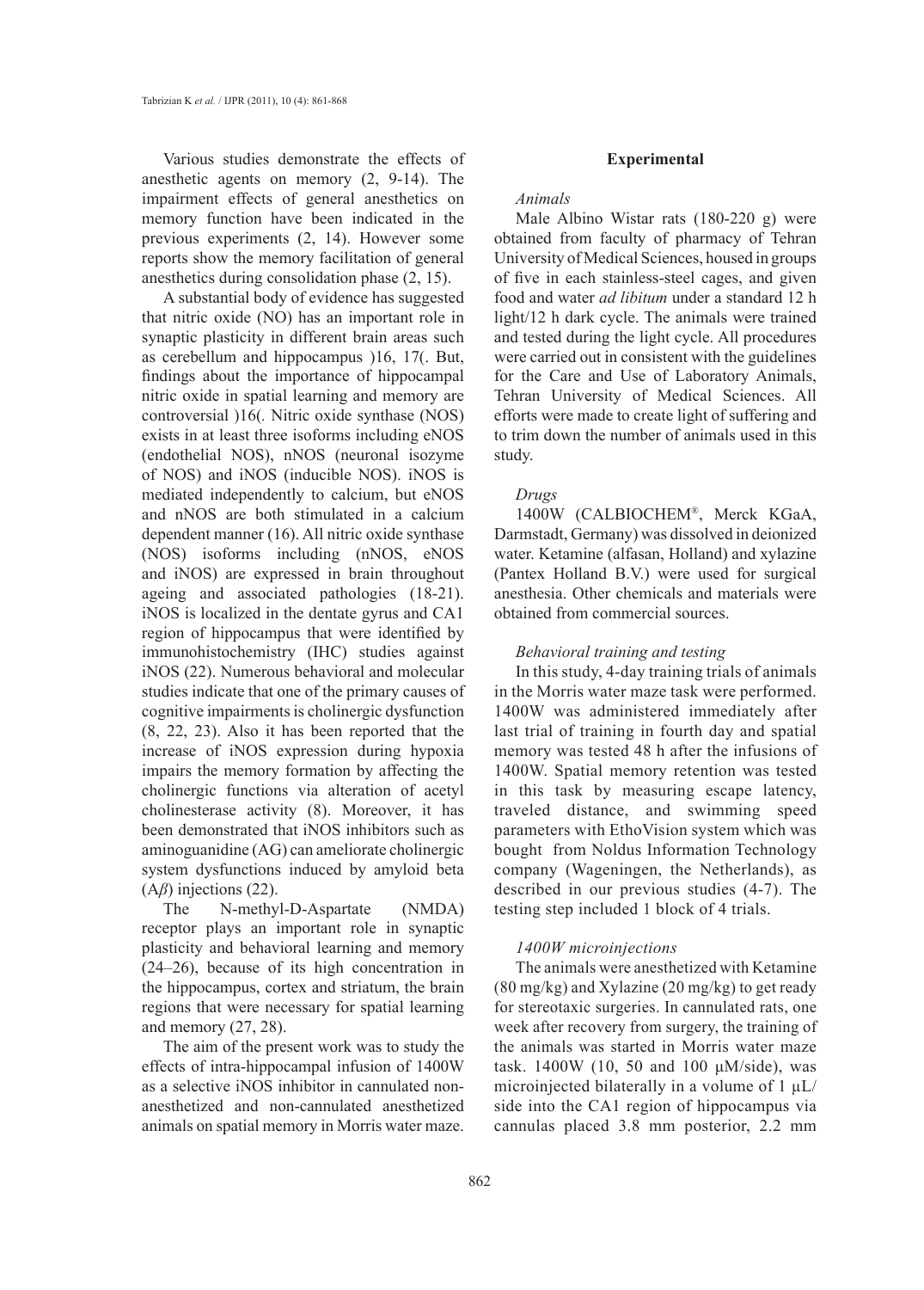Various studies demonstrate the effects of anesthetic agents on memory (2, 9-14). The impairment effects of general anesthetics on memory function have been indicated in the previous experiments (2, 14). However some reports show the memory facilitation of general anesthetics during consolidation phase (2, 15).

A substantial body of evidence has suggested that nitric oxide (NO) has an important role in synaptic plasticity in different brain areas such as cerebellum and hippocampus )16, 17(. But, findings about the importance of hippocampal nitric oxide in spatial learning and memory are controversial )16(*.* Nitric oxide synthase (NOS) exists in at least three isoforms including eNOS (endothelial NOS), nNOS (neuronal isozyme of NOS) and iNOS (inducible NOS). iNOS is mediated independently to calcium, but eNOS and nNOS are both stimulated in a calcium dependent manner (16). All nitric oxide synthase (NOS) isoforms including (nNOS, eNOS and iNOS) are expressed in brain throughout ageing and associated pathologies (18-21). iNOS is localized in the dentate gyrus and CA1 region of hippocampus that were identified by immunohistochemistry (IHC) studies against iNOS (22). Numerous behavioral and molecular studies indicate that one of the primary causes of cognitive impairments is cholinergic dysfunction (8, 22, 23). Also it has been reported that the increase of iNOS expression during hypoxia impairs the memory formation by affecting the cholinergic functions via alteration of acetyl cholinesterase activity (8). Moreover, it has been demonstrated that iNOS inhibitors such as aminoguanidine (AG) can ameliorate cholinergic system dysfunctions induced by amyloid beta (A*β*) injections (22).

The N-methyl-D-Aspartate (NMDA) receptor plays an important role in synaptic plasticity and behavioral learning and memory (24–26), because of its high concentration in the hippocampus, cortex and striatum, the brain regions that were necessary for spatial learning and memory (27, 28).

The aim of the present work was to study the effects of intra-hippocampal infusion of 1400W as a selective iNOS inhibitor in cannulated nonanesthetized and non-cannulated anesthetized animals on spatial memory in Morris water maze.

### **Experimental**

### *Animals*

Male Albino Wistar rats (180-220 g) were obtained from faculty of pharmacy of Tehran University of Medical Sciences, housed in groups of five in each stainless-steel cages, and given food and water *ad libitum* under a standard 12 h light/12 h dark cycle. The animals were trained and tested during the light cycle. All procedures were carried out in consistent with the guidelines for the Care and Use of Laboratory Animals, Tehran University of Medical Sciences. All efforts were made to create light of suffering and to trim down the number of animals used in this study.

### *Drugs*

1400W (CALBIOCHEM®, Merck KGaA, Darmstadt, Germany) was dissolved in deionized water. Ketamine (alfasan, Holland) and xylazine (Pantex Holland B.V.) were used for surgical anesthesia. Other chemicals and materials were obtained from commercial sources.

### *Behavioral training and testing*

In this study, 4-day training trials of animals in the Morris water maze task were performed. 1400W was administered immediately after last trial of training in fourth day and spatial memory was tested 48 h after the infusions of 1400W. Spatial memory retention was tested in this task by measuring escape latency, traveled distance, and swimming speed parameters with EthoVision system which was bought from Noldus Information Technology company (Wageningen, the Netherlands), as described in our previous studies (4-7). The testing step included 1 block of 4 trials.

# *1400W microinjections*

The animals were anesthetized with Ketamine (80 mg/kg) and Xylazine (20 mg/kg) to get ready for stereotaxic surgeries. In cannulated rats, one week after recovery from surgery, the training of the animals was started in Morris water maze task. 1400W (10, 50 and 100  $\mu$ M/side), was microinjected bilaterally in a volume of  $1 \mu L$ / side into the CA1 region of hippocampus via cannulas placed 3.8 mm posterior, 2.2 mm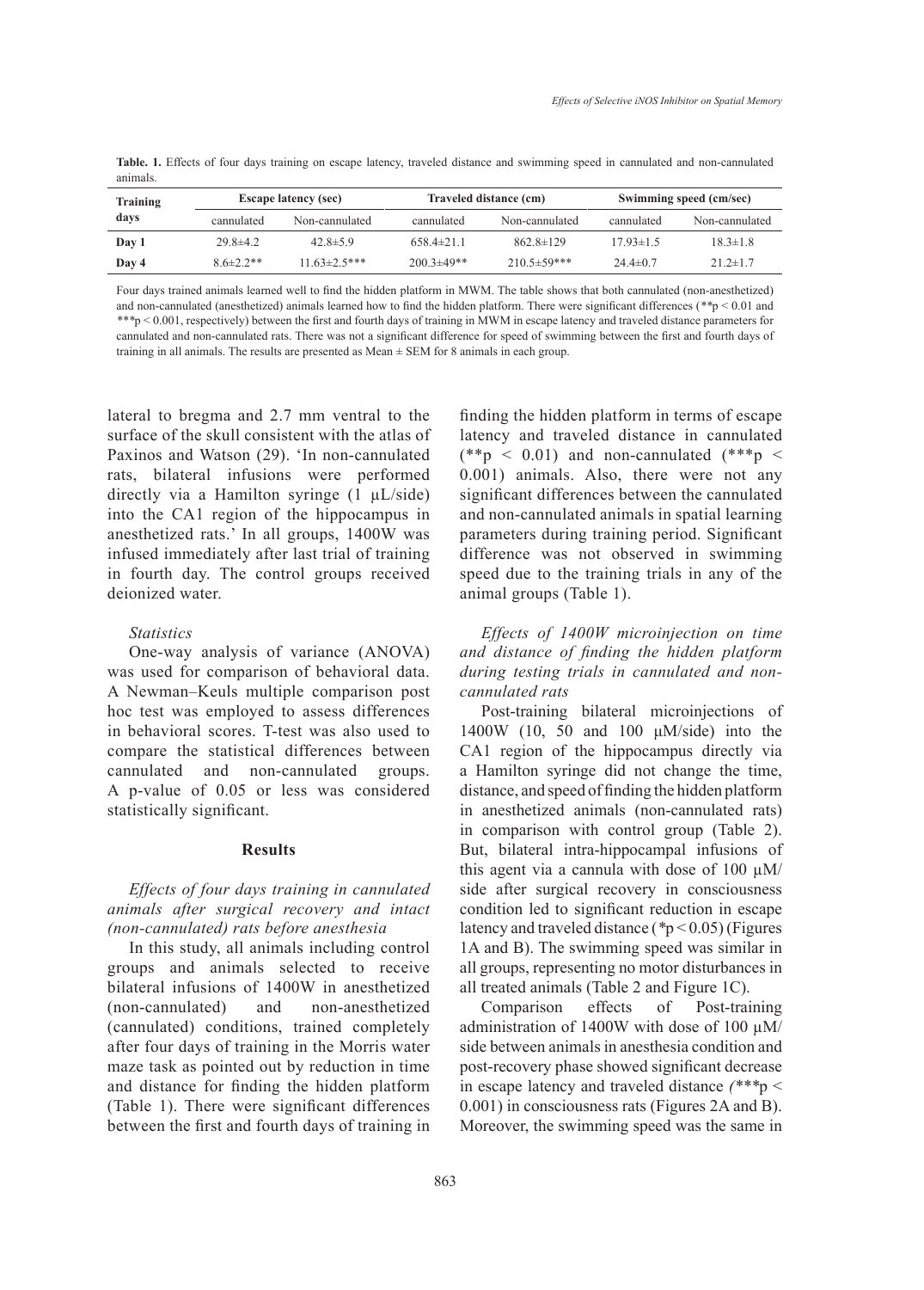Table. 1. Effects of four days training on escape latency, traveled distance and swimming speed in cannulated and non-cannulated animals.

| Training<br>days | <b>Escape latency (sec)</b> |                     | Traveled distance (cm) |                    | Swimming speed (cm/sec) |                |
|------------------|-----------------------------|---------------------|------------------------|--------------------|-------------------------|----------------|
|                  | cannulated                  | Non-cannulated      | cannulated             | Non-cannulated     | cannulated              | Non-cannulated |
| Day 1            | $29.8 \pm 4.2$              | $42.8 \pm 5.9$      | $658.4\pm21.1$         | $862.8 \pm 129$    | $17.93 \pm 1.5$         | $18.3 \pm 1.8$ |
| Day 4            | $8.6\pm2.2**$               | $11.63 \pm 2.5$ *** | $200.3 \pm 49**$       | $210.5 \pm 59$ *** | 24 4 $\pm$ 0.7          | $21.2 \pm 1.7$ |

Four days trained animals learned well to find the hidden platform in MWM. The table shows that both cannulated (non-anesthetized) and non-cannulated (anesthetized) animals learned how to find the hidden platform. There were significant differences (*\*\**p < 0.01 and *\*\*\**p < 0.001, respectively) between the first and fourth days of training in MWM in escape latency and traveled distance parameters for cannulated and non-cannulated rats. There was not a significant difference for speed of swimming between the first and fourth days of training in all animals. The results are presented as Mean ± SEM for 8 animals in each group.

lateral to bregma and 2.7 mm ventral to the surface of the skull consistent with the atlas of Paxinos and Watson (29). 'In non-cannulated rats, bilateral infusions were performed directly via a Hamilton syringe (1 µL/side) into the CA1 region of the hippocampus in anesthetized rats.' In all groups, 1400W was infused immediately after last trial of training in fourth day. The control groups received deionized water.

### *Statistics*

One-way analysis of variance (ANOVA) was used for comparison of behavioral data. A Newman–Keuls multiple comparison post hoc test was employed to assess differences in behavioral scores. T-test was also used to compare the statistical differences between cannulated and non-cannulated groups. A p-value of 0.05 or less was considered statistically significant.

### **Results**

# *Effects of four days training in cannulated animals after surgical recovery and intact (non-cannulated) rats before anesthesia*

In this study, all animals including control groups and animals selected to receive bilateral infusions of 1400W in anesthetized (non-cannulated) and non-anesthetized (cannulated) conditions, trained completely after four days of training in the Morris water maze task as pointed out by reduction in time and distance for finding the hidden platform (Table 1). There were significant differences between the first and fourth days of training in finding the hidden platform in terms of escape latency and traveled distance in cannulated  $(*\ast p \leq 0.01)$  and non-cannulated  $(*\ast p \leq 0.01)$ 0.001) animals. Also, there were not any significant differences between the cannulated and non-cannulated animals in spatial learning parameters during training period. Significant difference was not observed in swimming speed due to the training trials in any of the animal groups (Table 1).

*Effects of 1400W microinjection on time and distance of finding the hidden platform during testing trials in cannulated and noncannulated rats*

Post-training bilateral microinjections of 1400W (10, 50 and 100 μM/side) into the CA1 region of the hippocampus directly via a Hamilton syringe did not change the time, distance, and speed of finding the hidden platform in anesthetized animals (non-cannulated rats) in comparison with control group (Table 2). But, bilateral intra-hippocampal infusions of this agent via a cannula with dose of 100  $\mu$ M/ side after surgical recovery in consciousness condition led to significant reduction in escape latency and traveled distance (*\**p < 0.05) (Figures 1A and B). The swimming speed was similar in all groups, representing no motor disturbances in all treated animals (Table 2 and Figure 1C).

Comparison effects of Post-training administration of 1400W with dose of 100  $\mu$ M/ side between animals in anesthesia condition and post-recovery phase showed significant decrease in escape latency and traveled distance *(\*\*\**p < 0.001) in consciousness rats (Figures 2A and B). Moreover, the swimming speed was the same in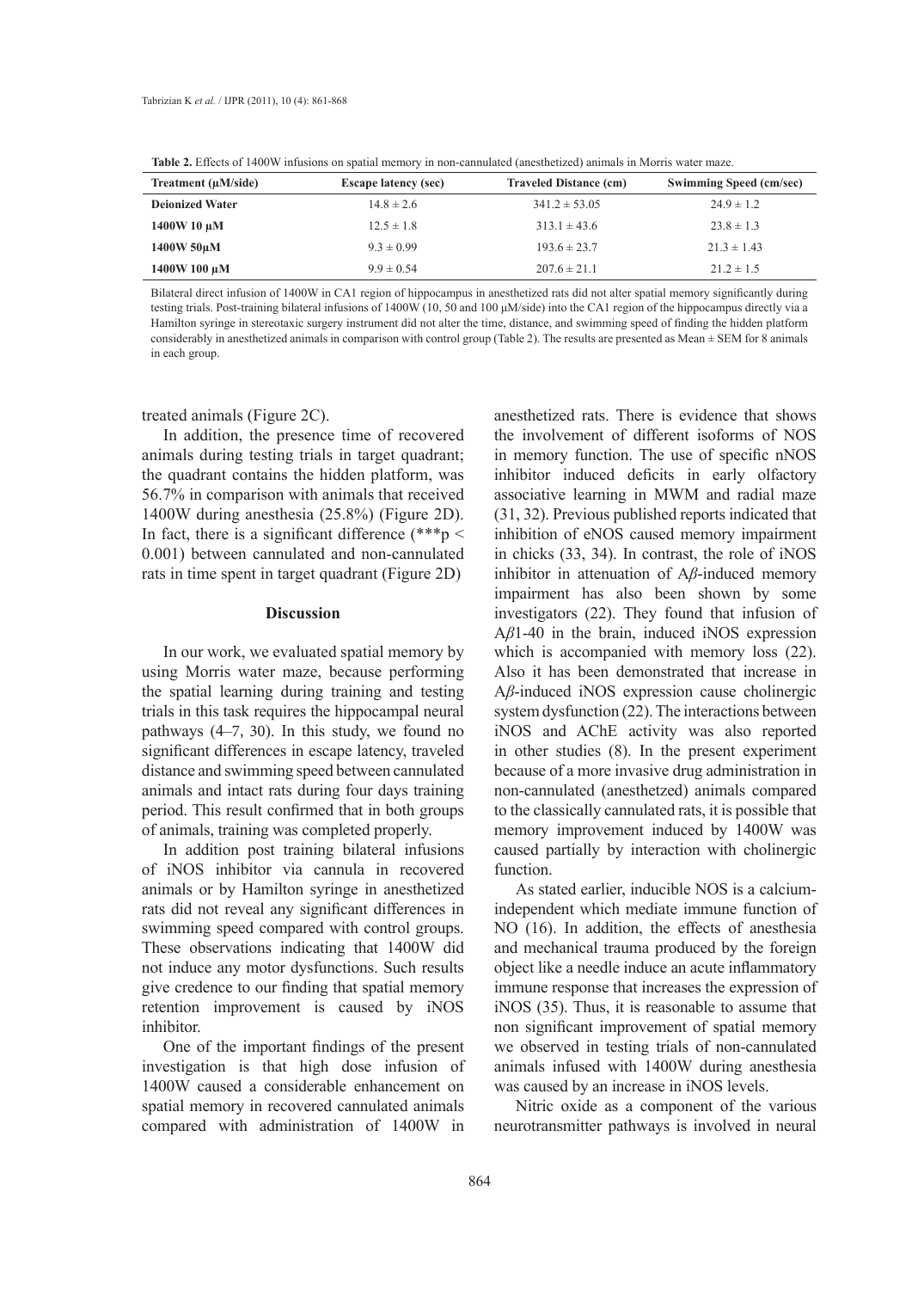**Table 2.** Effects of 1400W infusions on spatial memory in non-cannulated (anesthetized) animals in Morris water maze.

| Treatment $(\mu M/side)$ | <b>Escape latency (sec)</b> | <b>Traveled Distance (cm)</b> | <b>Swimming Speed (cm/sec)</b> |
|--------------------------|-----------------------------|-------------------------------|--------------------------------|
| <b>Deionized Water</b>   | $14.8 \pm 2.6$              | $341.2 \pm 53.05$             | $24.9 \pm 1.2$                 |
| $1400W10 \mu M$          | $12.5 \pm 1.8$              | $313.1 \pm 43.6$              | $23.8 \pm 1.3$                 |
| 1400W 50uM               | $9.3 \pm 0.99$              | $193.6 \pm 23.7$              | $21.3 \pm 1.43$                |
| 1400W 100 μM             | $9.9 \pm 0.54$              | $207.6 \pm 21.1$              | $21.2 \pm 1.5$                 |

Bilateral direct infusion of 1400W in CA1 region of hippocampus in anesthetized rats did not alter spatial memory significantly during testing trials. Post-training bilateral infusions of 1400W (10, 50 and 100 μM/side) into the CA1 region of the hippocampus directly via a Hamilton syringe in stereotaxic surgery instrument did not alter the time, distance, and swimming speed of finding the hidden platform considerably in anesthetized animals in comparison with control group (Table 2). The results are presented as Mean ± SEM for 8 animals in each group.

### treated animals (Figure 2C).

In addition, the presence time of recovered animals during testing trials in target quadrant; the quadrant contains the hidden platform, was 56.7% in comparison with animals that received 1400W during anesthesia (25.8%) (Figure 2D). In fact, there is a significant difference  $(***p <$ 0.001) between cannulated and non-cannulated rats in time spent in target quadrant (Figure 2D)

### **Discussion**

In our work, we evaluated spatial memory by using Morris water maze, because performing the spatial learning during training and testing trials in this task requires the hippocampal neural pathways (4–7, 30). In this study, we found no significant differences in escape latency, traveled distance and swimming speed between cannulated animals and intact rats during four days training period. This result confirmed that in both groups of animals, training was completed properly.

In addition post training bilateral infusions of iNOS inhibitor via cannula in recovered animals or by Hamilton syringe in anesthetized rats did not reveal any significant differences in swimming speed compared with control groups. These observations indicating that 1400W did not induce any motor dysfunctions. Such results give credence to our finding that spatial memory retention improvement is caused by iNOS inhibitor.

One of the important findings of the present investigation is that high dose infusion of 1400W caused a considerable enhancement on spatial memory in recovered cannulated animals compared with administration of 1400W in anesthetized rats. There is evidence that shows the involvement of different isoforms of NOS in memory function. The use of specific nNOS inhibitor induced deficits in early olfactory associative learning in MWM and radial maze (31, 32). Previous published reports indicated that inhibition of eNOS caused memory impairment in chicks (33, 34). In contrast, the role of iNOS inhibitor in attenuation of A*β*-induced memory impairment has also been shown by some investigators (22). They found that infusion of A*β*1-40 in the brain, induced iNOS expression which is accompanied with memory loss  $(22)$ . Also it has been demonstrated that increase in A*β*-induced iNOS expression cause cholinergic system dysfunction (22). The interactions between iNOS and AChE activity was also reported in other studies (8). In the present experiment because of a more invasive drug administration in non-cannulated (anesthetzed) animals compared to the classically cannulated rats, it is possible that memory improvement induced by 1400W was caused partially by interaction with cholinergic function.

As stated earlier, inducible NOS is a calciumindependent which mediate immune function of NO (16). In addition, the effects of anesthesia and mechanical trauma produced by the foreign object like a needle induce an acute inflammatory immune response that increases the expression of iNOS (35). Thus, it is reasonable to assume that non significant improvement of spatial memory we observed in testing trials of non-cannulated animals infused with 1400W during anesthesia was caused by an increase in iNOS levels.

Nitric oxide as a component of the various neurotransmitter pathways is involved in neural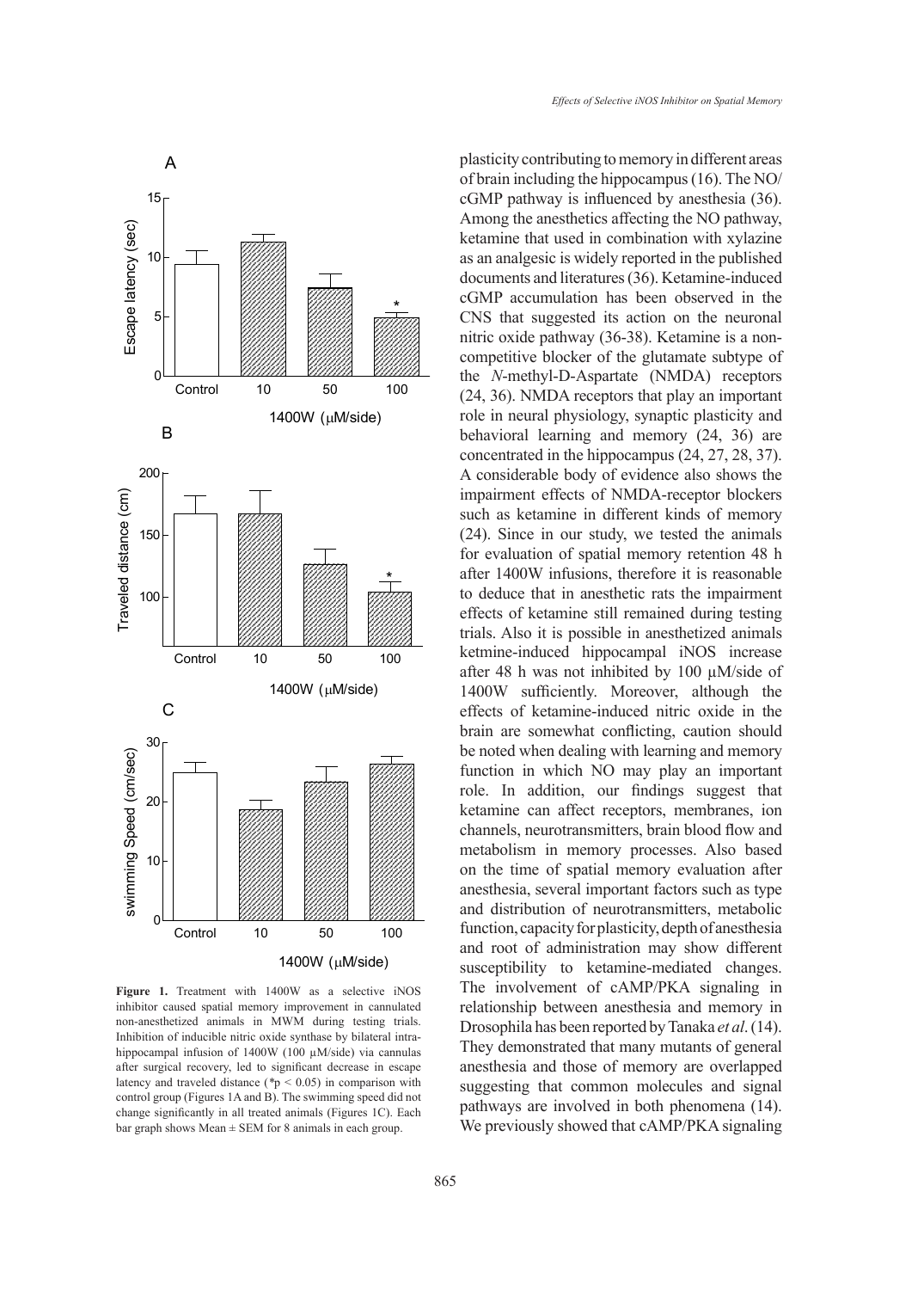

Figure 1. Treatment with 1400W as a selective iNOS inhibitor caused spatial memory improvement in cannulated non-anesthetized animals in MWM during testing trials.<br>Inhibition of inducible nitrie suide symboos he bilateral intre Inhibition of inducible nitric oxide synthase by bilateral intrahippocampal infusion of 1400W (100 µM/side) via cannulas after surgical recovery, led to significant decrease in escape latency and traveled distance (*\**p < 0.05) in comparison with control group (Figures 1A and B). The swimming speed did not change significantly in all treated animals (Figures 1C). Each bar graph shows Mean  $\pm$  SEM for 8 animals in each group.

plasticity contributing to memory in different areas of brain including the hippocampus (16). The NO/ cGMP pathway is influenced by anesthesia (36). Among the anesthetics affecting the NO pathway, ketamine that used in combination with xylazine as an analgesic is widely reported in the published documents and literatures (36). Ketamine-induced cGMP accumulation has been observed in the CNS that suggested its action on the neuronal nitric oxide pathway (36-38). Ketamine is a noncompetitive blocker of the glutamate subtype of the *N*-methyl-D-Aspartate (NMDA) receptors (24, 36). NMDA receptors that play an important role in neural physiology, synaptic plasticity and behavioral learning and memory (24, 36) are concentrated in the hippocampus (24, 27, 28, 37). A considerable body of evidence also shows the impairment effects of NMDA-receptor blockers such as ketamine in different kinds of memory (24). Since in our study, we tested the animals for evaluation of spatial memory retention 48 h after 1400W infusions, therefore it is reasonable to deduce that in anesthetic rats the impairment effects of ketamine still remained during testing trials. Also it is possible in anesthetized animals ketmine-induced hippocampal iNOS increase after 48 h was not inhibited by 100 µM/side of 1400W sufficiently. Moreover, although the effects of ketamine-induced nitric oxide in the brain are somewhat conflicting, caution should be noted when dealing with learning and memory function in which NO may play an important role. In addition, our findings suggest that ketamine can affect receptors, membranes, ion channels, neurotransmitters, brain blood flow and metabolism in memory processes. Also based on the time of spatial memory evaluation after anesthesia, several important factors such as type and distribution of neurotransmitters, metabolic function, capacity for plasticity, depth of anesthesia and root of administration may show different susceptibility to ketamine-mediated changes. The involvement of cAMP/PKA signaling in relationship between anesthesia and memory in Drosophila has been reported by Tanaka *et al*. (14). They demonstrated that many mutants of general anesthesia and those of memory are overlapped suggesting that common molecules and signal pathways are involved in both phenomena (14). We previously showed that cAMP/PKA signaling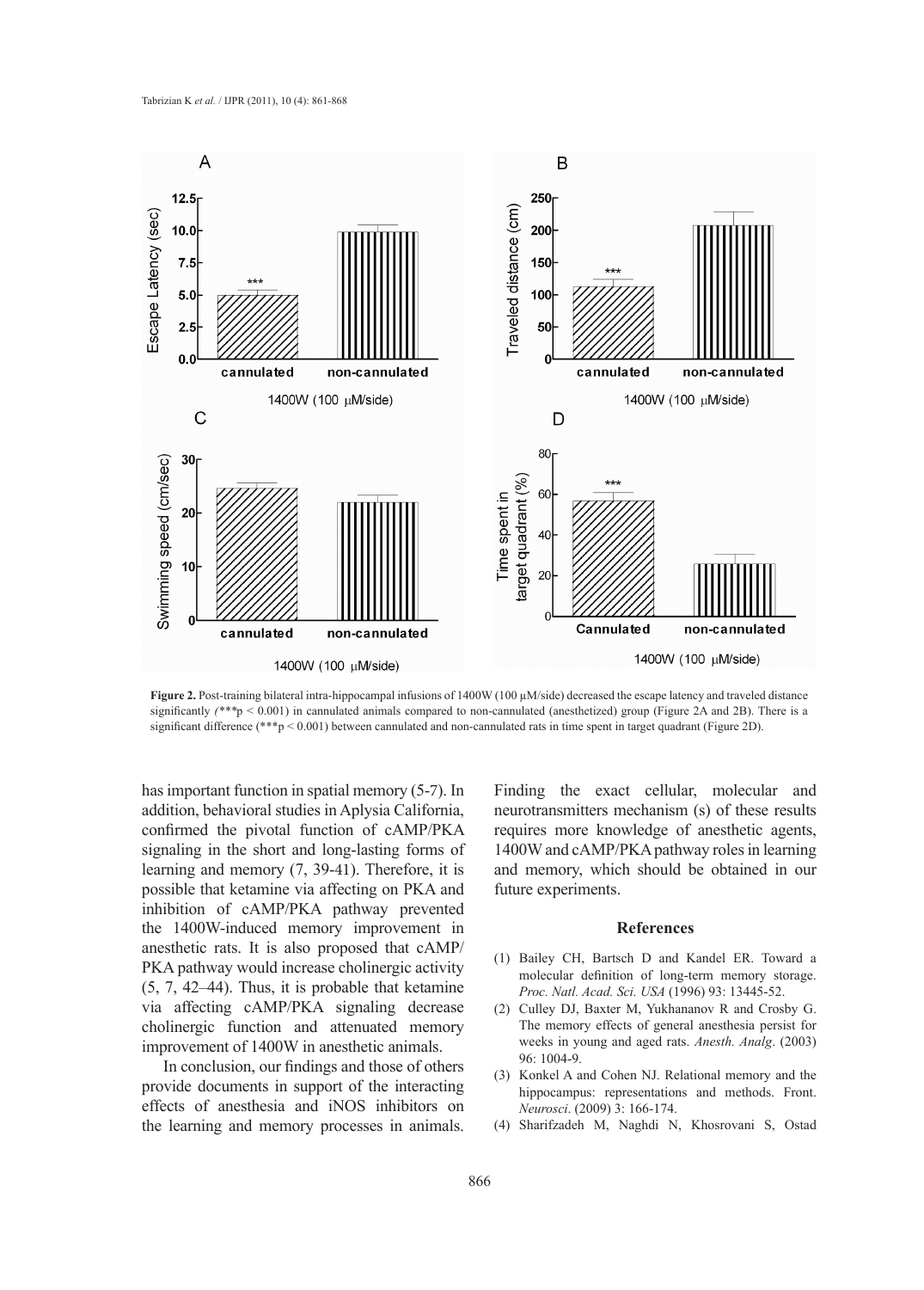

**Figure 2.** Post-training bilateral intra-hippocampal infusions of 1400W (100 µM/side) decreased the escape latency and traveled distance significantly *(\*\*\**p < 0.001) in cannulated animals compared to non-cannulated (anesthetized) group (Figure 2A and 2B). There is a significant difference (\*\*\*p < 0.001) between cannulated and non-cannulated rats in time spent in target quadrant (Figure 2D).

has important function in spatial memory (5-7). In addition, behavioral studies in Aplysia California, confirmed the pivotal function of cAMP/PKA signaling in the short and long-lasting forms of learning and memory (7, 39-41). Therefore, it is possible that ketamine via affecting on PKA and inhibition of cAMP/PKA pathway prevented the 1400W-induced memory improvement in anesthetic rats. It is also proposed that cAMP/ PKA pathway would increase cholinergic activity (5, 7, 42–44). Thus, it is probable that ketamine via affecting cAMP/PKA signaling decrease cholinergic function and attenuated memory improvement of 1400W in anesthetic animals.

In conclusion, our findings and those of others provide documents in support of the interacting effects of anesthesia and iNOS inhibitors on the learning and memory processes in animals.

Finding the exact cellular, molecular and neurotransmitters mechanism (s) of these results requires more knowledge of anesthetic agents, 1400W and cAMP/PKA pathway roles in learning and memory, which should be obtained in our future experiments.

### **References**

- Bailey CH, Bartsch D and Kandel ER. Toward a (1) molecular definition of long-term memory storage. *Proc. Natl. Acad. Sci. USA* (1996) 93: 13445-52.
- (2) Culley DJ, Baxter M, Yukhananov R and Crosby G. The memory effects of general anesthesia persist for weeks in young and aged rats. *Anesth. Analg*. (2003) 96: 1004-9.
- (3) Konkel A and Cohen NJ. Relational memory and the hippocampus: representations and methods. Front. *Neurosci*. (2009) 3: 166-174.
- Sharifzadeh M, Naghdi N, Khosrovani S, Ostad (4)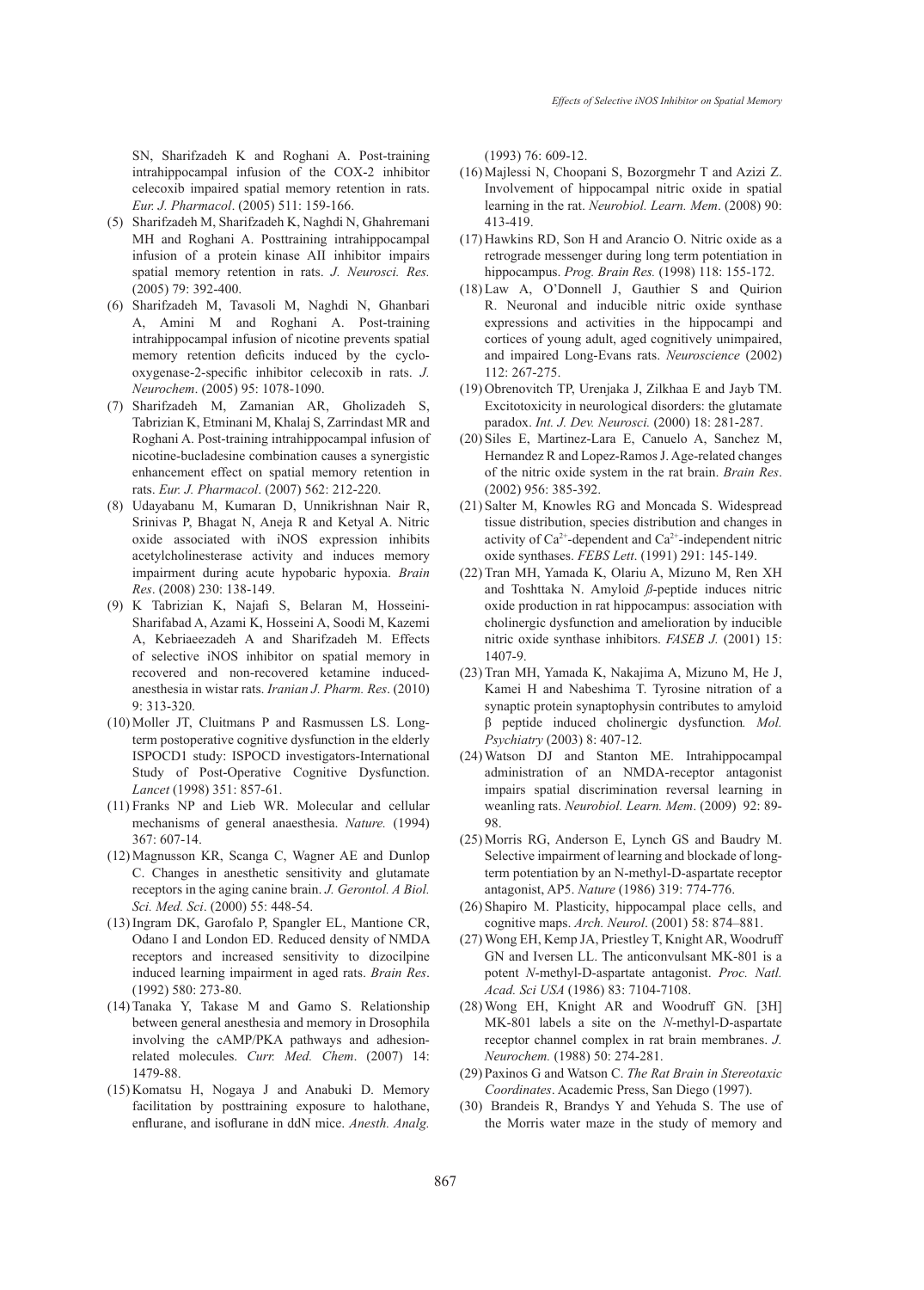SN, Sharifzadeh K and Roghani A. Post-training intrahippocampal infusion of the COX-2 inhibitor celecoxib impaired spatial memory retention in rats. *Eur. J. Pharmacol*. (2005) 511: 159-166.

- (5) Sharifzadeh M, Sharifzadeh K, Naghdi N, Ghahremani MH and Roghani A. Posttraining intrahippocampal infusion of a protein kinase AII inhibitor impairs spatial memory retention in rats. *J. Neurosci. Res.* (2005) 79: 392-400.
- (6) Sharifzadeh M, Tavasoli M, Naghdi N, Ghanbari A, Amini M and Roghani A. Post-training intrahippocampal infusion of nicotine prevents spatial memory retention deficits induced by the cyclooxygenase-2-specific inhibitor celecoxib in rats. *J. Neurochem*. (2005) 95: 1078-1090.
- Sharifzadeh M, Zamanian AR, Gholizadeh S, (7) Tabrizian K, Etminani M, Khalaj S, Zarrindast MR and Roghani A. Post-training intrahippocampal infusion of nicotine-bucladesine combination causes a synergistic enhancement effect on spatial memory retention in rats. *Eur. J. Pharmacol*. (2007) 562: 212-220.
- Udayabanu M, Kumaran D, Unnikrishnan Nair R, (8) Srinivas P, Bhagat N, Aneja R and Ketyal A. Nitric oxide associated with iNOS expression inhibits acetylcholinesterase activity and induces memory impairment during acute hypobaric hypoxia. *Brain Res*. (2008) 230: 138-149.
- K Tabrizian K, Najafi S, Belaran M, Hosseini-(9) Sharifabad A, Azami K, Hosseini A, Soodi M, Kazemi A, Kebriaeezadeh A and Sharifzadeh M. Effects of selective iNOS inhibitor on spatial memory in recovered and non-recovered ketamine inducedanesthesia in wistar rats. *Iranian J. Pharm. Res*. (2010) 9: 313-320.
- (10) Moller JT, Cluitmans P and Rasmussen LS. Longterm postoperative cognitive dysfunction in the elderly ISPOCD1 study: ISPOCD investigators-International Study of Post-Operative Cognitive Dysfunction. *Lancet* (1998) 351: 857-61.
- $(11)$  Franks NP and Lieb WR. Molecular and cellular mechanisms of general anaesthesia. *Nature.* (1994) 367: 607-14.
- $(12)$  Magnusson KR, Scanga C, Wagner AE and Dunlop C. Changes in anesthetic sensitivity and glutamate receptors in the aging canine brain. *J. Gerontol. A Biol. Sci. Med. Sci*. (2000) 55: 448-54.
- (13) Ingram DK, Garofalo P, Spangler EL, Mantione CR, Odano I and London ED. Reduced density of NMDA receptors and increased sensitivity to dizocilpine induced learning impairment in aged rats. *Brain Res*. (1992) 580: 273-80.
- $(14)$  Tanaka Y, Takase M and Gamo S. Relationship between general anesthesia and memory in Drosophila involving the cAMP/PKA pathways and adhesionrelated molecules. *Curr. Med. Chem*. (2007) 14: 1479-88.
- $(15)$  Komatsu H, Nogaya J and Anabuki D. Memory facilitation by posttraining exposure to halothane, enflurane, and isoflurane in ddN mice. *Anesth. Analg.*

(1993) 76: 609-12.

- (16) Majlessi N, Choopani S, Bozorgmehr T and Azizi Z. Involvement of hippocampal nitric oxide in spatial learning in the rat. *Neurobiol. Learn. Mem*. (2008) 90: 413-419.
- $(17)$  Hawkins RD, Son H and Arancio O. Nitric oxide as a retrograde messenger during long term potentiation in hippocampus. *Prog. Brain Res.* (1998) 118: 155-172.
- Law A, O'Donnell J, Gauthier S and Quirion (18) R. Neuronal and inducible nitric oxide synthase expressions and activities in the hippocampi and cortices of young adult, aged cognitively unimpaired, and impaired Long-Evans rats. *Neuroscience* (2002) 112: 267-275.
- $(19)$  Obrenovitch TP, Urenjaka J, Zilkhaa E and Jayb TM. Excitotoxicity in neurological disorders: the glutamate paradox. *Int. J. Dev. Neurosci.* (2000) 18: 281-287.
- (20) Siles E, Martinez-Lara E, Canuelo A, Sanchez M, Hernandez R and Lopez-Ramos J. Age-related changes of the nitric oxide system in the rat brain. *Brain Res*. (2002) 956: 385-392.
- (21) Salter M, Knowles RG and Moncada S. Widespread tissue distribution, species distribution and changes in activity of Ca2+-dependent and Ca2+-independent nitric oxide synthases. *FEBS Lett*. (1991) 291: 145-149.
- (22) Tran MH, Yamada K, Olariu A, Mizuno M, Ren XH and Toshttaka N. Amyloid *ß*-peptide induces nitric oxide production in rat hippocampus: association with cholinergic dysfunction and amelioration by inducible nitric oxide synthase inhibitors. *FASEB J.* (2001) 15: 1407-9.
- (23) Tran MH, Yamada K, Nakajima A, Mizuno M, He J, Kamei H and Nabeshima T. Tyrosine nitration of a synaptic protein synaptophysin contributes to amyloid β peptide induced cholinergic dysfunction*. Mol. Psychiatry* (2003) 8: 407-12.
- Watson DJ and Stanton ME. Intrahippocampal (24) administration of an NMDA-receptor antagonist impairs spatial discrimination reversal learning in weanling rats. *Neurobiol. Learn. Mem*. (2009) 92: 89- 98.
- $(25)$  Morris RG, Anderson E, Lynch GS and Baudry M. Selective impairment of learning and blockade of longterm potentiation by an N-methyl-D-aspartate receptor antagonist, AP5. *Nature* (1986) 319: 774-776.
- (26) Shapiro M. Plasticity, hippocampal place cells, and cognitive maps. *Arch. Neurol*. (2001) 58: 874–881.
- Wong EH, Kemp JA, Priestley T, Knight AR, Woodruff (27) GN and Iversen LL. The anticonvulsant MK-801 is a potent *N*-methyl-D-aspartate antagonist. *Proc. Natl. Acad. Sci USA* (1986) 83: 7104-7108.
- Wong EH, Knight AR and Woodruff GN. [3H] (28) MK-801 labels a site on the *N*-methyl-D-aspartate receptor channel complex in rat brain membranes. *J. Neurochem.* (1988) 50: 274-281.
- Paxinos G and Watson C. *The Rat Brain in Stereotaxic*  (29) *Coordinates*. Academic Press, San Diego (1997).
- (30) Brandeis R, Brandys Y and Yehuda S. The use of the Morris water maze in the study of memory and